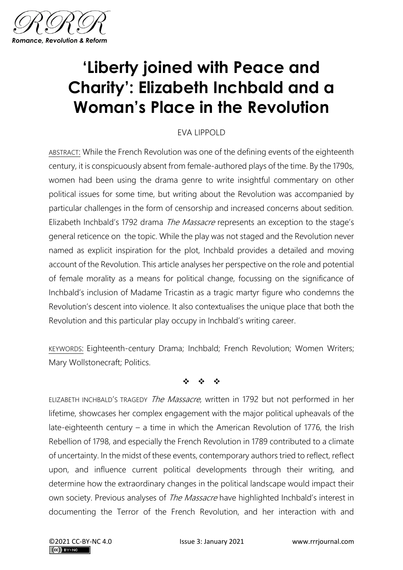

## **'Liberty joined with Peace and Charity': Elizabeth Inchbald and a Woman's Place in the Revolution**

## EVA LIPPOLD

ABSTRACT: While the French Revolution was one of the defining events of the eighteenth century, it is conspicuously absent from female-authored plays of the time. By the 1790s, women had been using the drama genre to write insightful commentary on other political issues for some time, but writing about the Revolution was accompanied by particular challenges in the form of censorship and increased concerns about sedition. Elizabeth Inchbald's 1792 drama The Massacre represents an exception to the stage's general reticence on the topic. While the play was not staged and the Revolution never named as explicit inspiration for the plot, Inchbald provides a detailed and moving account of the Revolution. This article analyses her perspective on the role and potential of female morality as a means for political change, focussing on the significance of Inchbald's inclusion of Madame Tricastin as a tragic martyr figure who condemns the Revolution's descent into violence. It also contextualises the unique place that both the Revolution and this particular play occupy in Inchbald's writing career.

KEYWORDS: Eighteenth-century Drama; Inchbald; French Revolution; Women Writers; Mary Wollstonecraft; Politics.

❖ ❖ ❖

ELIZABETH INCHBALD'S TRAGEDY The Massacre, written in 1792 but not performed in her lifetime, showcases her complex engagement with the major political upheavals of the late-eighteenth century – a time in which the American Revolution of 1776, the Irish Rebellion of 1798, and especially the French Revolution in 1789 contributed to a climate of uncertainty. In the midst of these events, contemporary authors tried to reflect, reflect upon, and influence current political developments through their writing, and determine how the extraordinary changes in the political landscape would impact their own society. Previous analyses of *The Massacre* have highlighted Inchbald's interest in documenting the Terror of the French Revolution, and her interaction with and

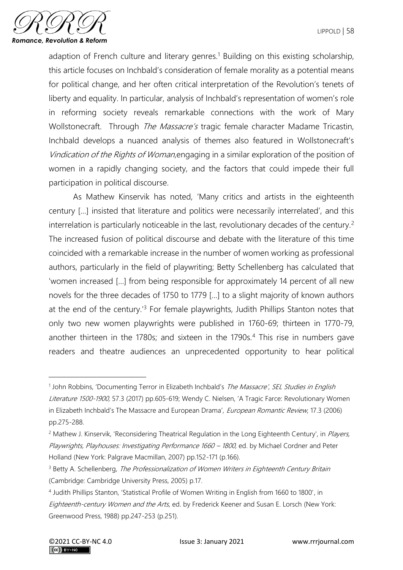

adaption of French culture and literary genres.<sup>1</sup> Building on this existing scholarship, this article focuses on Inchbald's consideration of female morality as a potential means for political change, and her often critical interpretation of the Revolution's tenets of liberty and equality. In particular, analysis of Inchbald's representation of women's role in reforming society reveals remarkable connections with the work of Mary Wollstonecraft. Through The Massacre's tragic female character Madame Tricastin, Inchbald develops a nuanced analysis of themes also featured in Wollstonecraft's Vindication of the Rights of Woman,engaging in a similar exploration of the position of women in a rapidly changing society, and the factors that could impede their full participation in political discourse.

As Mathew Kinservik has noted, 'Many critics and artists in the eighteenth century […] insisted that literature and politics were necessarily interrelated', and this interrelation is particularly noticeable in the last, revolutionary decades of the century.<sup>2</sup> The increased fusion of political discourse and debate with the literature of this time coincided with a remarkable increase in the number of women working as professional authors, particularly in the field of playwriting; Betty Schellenberg has calculated that 'women increased […] from being responsible for approximately 14 percent of all new novels for the three decades of 1750 to 1779 […] to a slight majority of known authors at the end of the century.'<sup>3</sup> For female playwrights, Judith Phillips Stanton notes that only two new women playwrights were published in 1760-69; thirteen in 1770-79, another thirteen in the 1780s; and sixteen in the 1790s.<sup>4</sup> This rise in numbers gave readers and theatre audiences an unprecedented opportunity to hear political

<sup>&</sup>lt;sup>1</sup> John Robbins, 'Documenting Terror in Elizabeth Inchbald's The Massacre', SEL Studies in English Literature 1500-1900, 57.3 (2017) pp.605-619; Wendy C. Nielsen, 'A Tragic Farce: Revolutionary Women in Elizabeth Inchbald's The Massacre and European Drama', European Romantic Review, 17.3 (2006) pp.275-288.

<sup>&</sup>lt;sup>2</sup> Mathew J. Kinservik, 'Reconsidering Theatrical Regulation in the Long Eighteenth Century', in *Players,* Playwrights, Playhouses: Investigating Performance 1660 - 1800, ed. by Michael Cordner and Peter Holland (New York: Palgrave Macmillan, 2007) pp.152-171 (p.166).

<sup>&</sup>lt;sup>3</sup> Betty A. Schellenberg, The Professionalization of Women Writers in Eighteenth Century Britain (Cambridge: Cambridge University Press, 2005) p.17.

<sup>4</sup> Judith Phillips Stanton, 'Statistical Profile of Women Writing in English from 1660 to 1800', in Eighteenth-century Women and the Arts, ed. by Frederick Keener and Susan E. Lorsch (New York: Greenwood Press, 1988) pp.247-253 (p.251).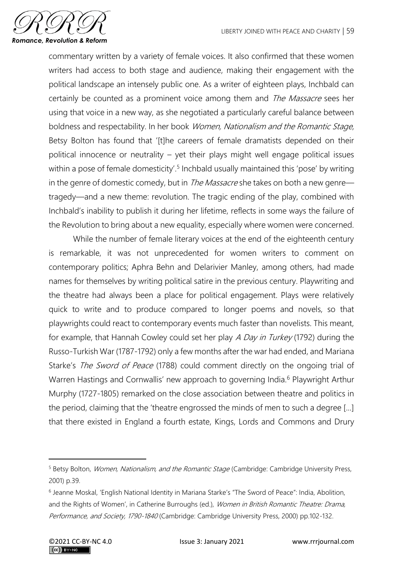

commentary written by a variety of female voices. It also confirmed that these women writers had access to both stage and audience, making their engagement with the political landscape an intensely public one. As a writer of eighteen plays, Inchbald can certainly be counted as a prominent voice among them and *The Massacre* sees her using that voice in a new way, as she negotiated a particularly careful balance between boldness and respectability. In her book Women, Nationalism and the Romantic Stage, Betsy Bolton has found that '[t]he careers of female dramatists depended on their political innocence or neutrality – yet their plays might well engage political issues within a pose of female domesticity'.<sup>5</sup> Inchbald usually maintained this 'pose' by writing in the genre of domestic comedy, but in *The Massacre* she takes on both a new genre tragedy—and a new theme: revolution. The tragic ending of the play, combined with Inchbald's inability to publish it during her lifetime, reflects in some ways the failure of the Revolution to bring about a new equality, especially where women were concerned.

While the number of female literary voices at the end of the eighteenth century is remarkable, it was not unprecedented for women writers to comment on contemporary politics; Aphra Behn and Delarivier Manley, among others, had made names for themselves by writing political satire in the previous century. Playwriting and the theatre had always been a place for political engagement. Plays were relatively quick to write and to produce compared to longer poems and novels, so that playwrights could react to contemporary events much faster than novelists. This meant, for example, that Hannah Cowley could set her play A Day in Turkey (1792) during the Russo-Turkish War (1787-1792) only a few months after the war had ended, and Mariana Starke's The Sword of Peace (1788) could comment directly on the ongoing trial of Warren Hastings and Cornwallis' new approach to governing India.<sup>6</sup> Playwright Arthur Murphy (1727-1805) remarked on the close association between theatre and politics in the period, claiming that the 'theatre engrossed the minds of men to such a degree [...] that there existed in England a fourth estate, Kings, Lords and Commons and Drury

<sup>&</sup>lt;sup>5</sup> Betsy Bolton, *Women, Nationalism, and the Romantic Stage* (Cambridge: Cambridge University Press, 2001) p.39.

<sup>6</sup> Jeanne Moskal, 'English National Identity in Mariana Starke's "The Sword of Peace": India, Abolition, and the Rights of Women', in Catherine Burroughs (ed.), Women in British Romantic Theatre: Drama, Performance, and Society, 1790-1840 (Cambridge: Cambridge University Press, 2000) pp.102-132.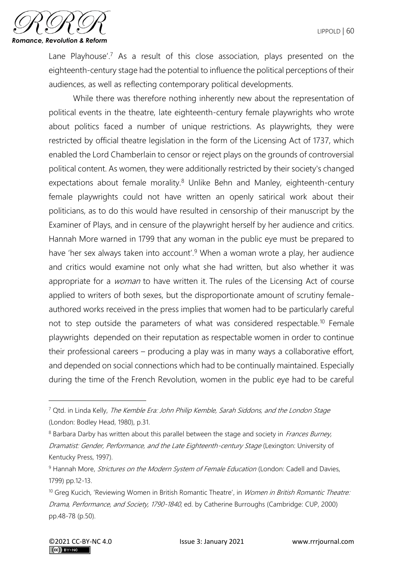

Lane Playhouse'.<sup>7</sup> As a result of this close association, plays presented on the eighteenth-century stage had the potential to influence the political perceptions of their audiences, as well as reflecting contemporary political developments.

While there was therefore nothing inherently new about the representation of political events in the theatre, late eighteenth-century female playwrights who wrote about politics faced a number of unique restrictions. As playwrights, they were restricted by official theatre legislation in the form of the Licensing Act of 1737, which enabled the Lord Chamberlain to censor or reject plays on the grounds of controversial political content. As women, they were additionally restricted by their society's changed expectations about female morality.<sup>8</sup> Unlike Behn and Manley, eighteenth-century female playwrights could not have written an openly satirical work about their politicians, as to do this would have resulted in censorship of their manuscript by the Examiner of Plays, and in censure of the playwright herself by her audience and critics. Hannah More warned in 1799 that any woman in the public eye must be prepared to have 'her sex always taken into account'.<sup>9</sup> When a woman wrote a play, her audience and critics would examine not only what she had written, but also whether it was appropriate for a *woman* to have written it. The rules of the Licensing Act of course applied to writers of both sexes, but the disproportionate amount of scrutiny femaleauthored works received in the press implies that women had to be particularly careful not to step outside the parameters of what was considered respectable.<sup>10</sup> Female playwrights depended on their reputation as respectable women in order to continue their professional careers – producing a play was in many ways a collaborative effort, and depended on social connections which had to be continually maintained. Especially during the time of the French Revolution, women in the public eye had to be careful

<sup>&</sup>lt;sup>7</sup> Qtd. in Linda Kelly, The Kemble Era: John Philip Kemble, Sarah Siddons, and the London Stage (London: Bodley Head, 1980), p.31.

<sup>&</sup>lt;sup>8</sup> Barbara Darby has written about this parallel between the stage and society in *Frances Burney*, Dramatist: Gender, Performance, and the Late Eighteenth-century Stage (Lexington: University of Kentucky Press, 1997).

 $9$  Hannah More, *Strictures on the Modern System of Female Education* (London: Cadell and Davies, 1799) pp.12-13.

<sup>&</sup>lt;sup>10</sup> Greg Kucich, 'Reviewing Women in British Romantic Theatre', in *Women in British Romantic Theatre:* Drama, Performance, and Society, 1790-1840, ed. by Catherine Burroughs (Cambridge: CUP, 2000) pp.48-78 (p.50).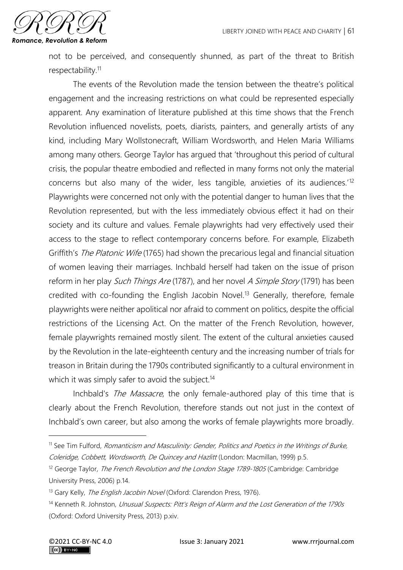

not to be perceived, and consequently shunned, as part of the threat to British respectability.<sup>11</sup>

The events of the Revolution made the tension between the theatre's political engagement and the increasing restrictions on what could be represented especially apparent. Any examination of literature published at this time shows that the French Revolution influenced novelists, poets, diarists, painters, and generally artists of any kind, including Mary Wollstonecraft, William Wordsworth, and Helen Maria Williams among many others. George Taylor has argued that 'throughout this period of cultural crisis, the popular theatre embodied and reflected in many forms not only the material concerns but also many of the wider, less tangible, anxieties of its audiences.'<sup>12</sup> Playwrights were concerned not only with the potential danger to human lives that the Revolution represented, but with the less immediately obvious effect it had on their society and its culture and values. Female playwrights had very effectively used their access to the stage to reflect contemporary concerns before. For example, Elizabeth Griffith's The Platonic Wife (1765) had shown the precarious legal and financial situation of women leaving their marriages. Inchbald herself had taken on the issue of prison reform in her play Such Things Are (1787), and her novel A Simple Story (1791) has been credited with co-founding the English Jacobin Novel.<sup>13</sup> Generally, therefore, female playwrights were neither apolitical nor afraid to comment on politics, despite the official restrictions of the Licensing Act. On the matter of the French Revolution, however, female playwrights remained mostly silent. The extent of the cultural anxieties caused by the Revolution in the late-eighteenth century and the increasing number of trials for treason in Britain during the 1790s contributed significantly to a cultural environment in which it was simply safer to avoid the subject.<sup>14</sup>

Inchbald's The Massacre, the only female-authored play of this time that is clearly about the French Revolution, therefore stands out not just in the context of Inchbald's own career, but also among the works of female playwrights more broadly.

<sup>&</sup>lt;sup>11</sup> See Tim Fulford, Romanticism and Masculinity: Gender, Politics and Poetics in the Writings of Burke, Coleridge, Cobbett, Wordsworth, De Quincey and Hazlitt (London: Macmillan, 1999) p.5.

 $12$  George Taylor, *The French Revolution and the London Stage 1789-1805* (Cambridge: Cambridge University Press, 2006) p.14.

<sup>&</sup>lt;sup>13</sup> Gary Kelly, *The English Jacobin Novel* (Oxford: Clarendon Press, 1976).

<sup>&</sup>lt;sup>14</sup> Kenneth R. Johnston, *Unusual Suspects: Pitt's Reign of Alarm and the Lost Generation of the 1790s* (Oxford: Oxford University Press, 2013) p.xiv.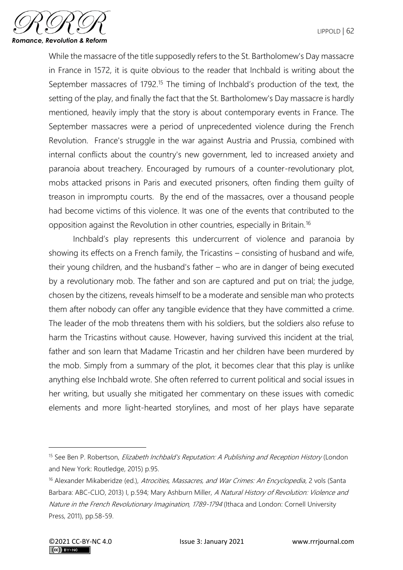

While the massacre of the title supposedly refers to the St. Bartholomew's Day massacre in France in 1572, it is quite obvious to the reader that Inchbald is writing about the September massacres of 1792.<sup>15</sup> The timing of Inchbald's production of the text, the setting of the play, and finally the fact that the St. Bartholomew's Day massacre is hardly mentioned, heavily imply that the story is about contemporary events in France. The September massacres were a period of unprecedented violence during the French Revolution. France's struggle in the war against Austria and Prussia, combined with internal conflicts about the country's new government, led to increased anxiety and paranoia about treachery. Encouraged by rumours of a counter-revolutionary plot, mobs attacked prisons in Paris and executed prisoners, often finding them guilty of treason in impromptu courts. By the end of the massacres, over a thousand people had become victims of this violence. It was one of the events that contributed to the opposition against the Revolution in other countries, especially in Britain.<sup>16</sup>

Inchbald's play represents this undercurrent of violence and paranoia by showing its effects on a French family, the Tricastins – consisting of husband and wife, their young children, and the husband's father – who are in danger of being executed by a revolutionary mob. The father and son are captured and put on trial; the judge, chosen by the citizens, reveals himself to be a moderate and sensible man who protects them after nobody can offer any tangible evidence that they have committed a crime. The leader of the mob threatens them with his soldiers, but the soldiers also refuse to harm the Tricastins without cause. However, having survived this incident at the trial, father and son learn that Madame Tricastin and her children have been murdered by the mob. Simply from a summary of the plot, it becomes clear that this play is unlike anything else Inchbald wrote. She often referred to current political and social issues in her writing, but usually she mitigated her commentary on these issues with comedic elements and more light-hearted storylines, and most of her plays have separate

<sup>&</sup>lt;sup>15</sup> See Ben P. Robertson, *Elizabeth Inchbald's Reputation: A Publishing and Reception History* (London and New York: Routledge, 2015) p.95.

<sup>&</sup>lt;sup>16</sup> Alexander Mikaberidze (ed.), Atrocities, Massacres, and War Crimes: An Encyclopedia, 2 vols (Santa Barbara: ABC-CLIO, 2013) I, p.594; Mary Ashburn Miller, A Natural History of Revolution: Violence and Nature in the French Revolutionary Imagination, 1789-1794 (Ithaca and London: Cornell University Press, 2011), pp.58-59.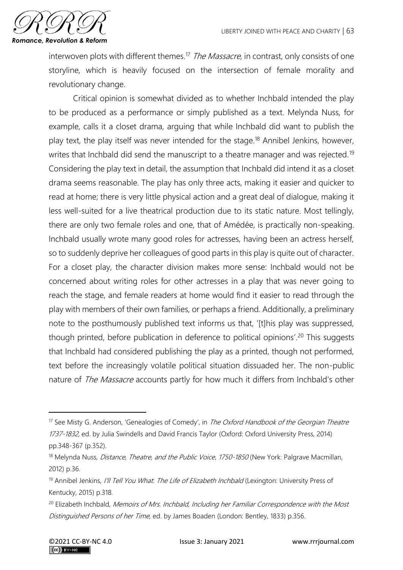

interwoven plots with different themes.<sup>17</sup> The Massacre, in contrast, only consists of one storyline, which is heavily focused on the intersection of female morality and revolutionary change.

Critical opinion is somewhat divided as to whether Inchbald intended the play to be produced as a performance or simply published as a text. Melynda Nuss, for example, calls it a closet drama, arguing that while Inchbald did want to publish the play text, the play itself was never intended for the stage.<sup>18</sup> Annibel Jenkins, however, writes that Inchbald did send the manuscript to a theatre manager and was rejected.<sup>19</sup> Considering the play text in detail, the assumption that Inchbald did intend it as a closet drama seems reasonable. The play has only three acts, making it easier and quicker to read at home; there is very little physical action and a great deal of dialogue, making it less well-suited for a live theatrical production due to its static nature. Most tellingly, there are only two female roles and one, that of Amédée, is practically non-speaking. Inchbald usually wrote many good roles for actresses, having been an actress herself, so to suddenly deprive her colleagues of good parts in this play is quite out of character. For a closet play, the character division makes more sense: Inchbald would not be concerned about writing roles for other actresses in a play that was never going to reach the stage, and female readers at home would find it easier to read through the play with members of their own families, or perhaps a friend. Additionally, a preliminary note to the posthumously published text informs us that, '[t]his play was suppressed, though printed, before publication in deference to political opinions'.<sup>20</sup> This suggests that Inchbald had considered publishing the play as a printed, though not performed, text before the increasingly volatile political situation dissuaded her. The non-public nature of *The Massacre* accounts partly for how much it differs from Inchbald's other

<sup>&</sup>lt;sup>17</sup> See Misty G. Anderson, 'Genealogies of Comedy', in *The Oxford Handbook of the Georgian Theatre* 1737-1832, ed. by Julia Swindells and David Francis Taylor (Oxford: Oxford University Press, 2014) pp.348-367 (p.352).

<sup>&</sup>lt;sup>18</sup> Melynda Nuss, *Distance, Theatre, and the Public Voice*, 1750-1850 (New York: Palgrave Macmillan, 2012) p.36.

<sup>&</sup>lt;sup>19</sup> Annibel Jenkins, I'll Tell You What. The Life of Elizabeth Inchbald (Lexington: University Press of Kentucky, 2015) p.318.

<sup>&</sup>lt;sup>20</sup> Elizabeth Inchbald, Memoirs of Mrs. Inchbald, Including her Familiar Correspondence with the Most Distinguished Persons of her Time, ed. by James Boaden (London: Bentley, 1833) p.356.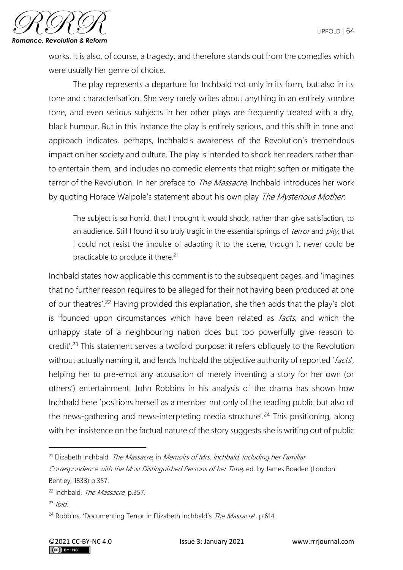

works. It is also, of course, a tragedy, and therefore stands out from the comedies which were usually her genre of choice.

The play represents a departure for Inchbald not only in its form, but also in its tone and characterisation. She very rarely writes about anything in an entirely sombre tone, and even serious subjects in her other plays are frequently treated with a dry, black humour. But in this instance the play is entirely serious, and this shift in tone and approach indicates, perhaps, Inchbald's awareness of the Revolution's tremendous impact on her society and culture. The play is intended to shock her readers rather than to entertain them, and includes no comedic elements that might soften or mitigate the terror of the Revolution. In her preface to *The Massacre*, Inchbald introduces her work by quoting Horace Walpole's statement about his own play *The Mysterious Mother*.

The subject is so horrid, that I thought it would shock, rather than give satisfaction, to an audience. Still I found it so truly tragic in the essential springs of *terror* and *pity*, that I could not resist the impulse of adapting it to the scene, though it never could be practicable to produce it there.<sup>21</sup>

Inchbald states how applicable this comment is to the subsequent pages, and 'imagines that no further reason requires to be alleged for their not having been produced at one of our theatres'.<sup>22</sup> Having provided this explanation, she then adds that the play's plot is 'founded upon circumstances which have been related as *facts*, and which the unhappy state of a neighbouring nation does but too powerfully give reason to credit'.<sup>23</sup> This statement serves a twofold purpose: it refers obliquely to the Revolution without actually naming it, and lends Inchbald the objective authority of reported 'facts', helping her to pre-empt any accusation of merely inventing a story for her own (or others') entertainment. John Robbins in his analysis of the drama has shown how Inchbald here 'positions herself as a member not only of the reading public but also of the news-gathering and news-interpreting media structure'.<sup>24</sup> This positioning, along with her insistence on the factual nature of the story suggests she is writing out of public

 $21$  Elizabeth Inchbald, The Massacre, in Memoirs of Mrs. Inchbald, Including her Familiar

Correspondence with the Most Distinguished Persons of her Time, ed. by James Boaden (London: Bentley, 1833) p.357.

<sup>&</sup>lt;sup>22</sup> Inchbald, *The Massacre*, p.357.

 $23$  Ibid

<sup>&</sup>lt;sup>24</sup> Robbins, 'Documenting Terror in Elizabeth Inchbald's The Massacre', p.614.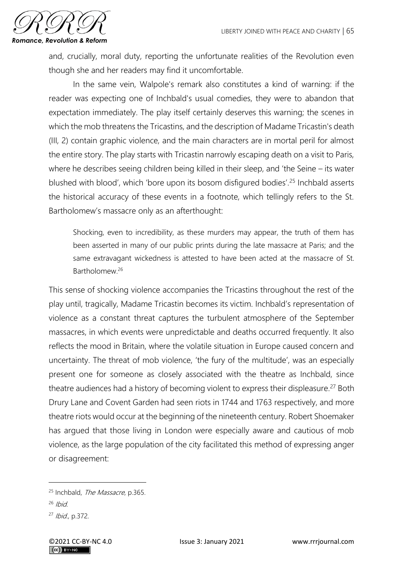

and, crucially, moral duty, reporting the unfortunate realities of the Revolution even though she and her readers may find it uncomfortable.

In the same vein, Walpole's remark also constitutes a kind of warning: if the reader was expecting one of Inchbald's usual comedies, they were to abandon that expectation immediately. The play itself certainly deserves this warning; the scenes in which the mob threatens the Tricastins, and the description of Madame Tricastin's death (III, 2) contain graphic violence, and the main characters are in mortal peril for almost the entire story. The play starts with Tricastin narrowly escaping death on a visit to Paris, where he describes seeing children being killed in their sleep, and 'the Seine – its water blushed with blood', which 'bore upon its bosom disfigured bodies'.<sup>25</sup> Inchbald asserts the historical accuracy of these events in a footnote, which tellingly refers to the St. Bartholomew's massacre only as an afterthought:

Shocking, even to incredibility, as these murders may appear, the truth of them has been asserted in many of our public prints during the late massacre at Paris; and the same extravagant wickedness is attested to have been acted at the massacre of St. Bartholomew<sup>26</sup>

This sense of shocking violence accompanies the Tricastins throughout the rest of the play until, tragically, Madame Tricastin becomes its victim. Inchbald's representation of violence as a constant threat captures the turbulent atmosphere of the September massacres, in which events were unpredictable and deaths occurred frequently. It also reflects the mood in Britain, where the volatile situation in Europe caused concern and uncertainty. The threat of mob violence, 'the fury of the multitude', was an especially present one for someone as closely associated with the theatre as Inchbald, since theatre audiences had a history of becoming violent to express their displeasure.<sup>27</sup> Both Drury Lane and Covent Garden had seen riots in 1744 and 1763 respectively, and more theatre riots would occur at the beginning of the nineteenth century. Robert Shoemaker has argued that those living in London were especially aware and cautious of mob violence, as the large population of the city facilitated this method of expressing anger or disagreement:

<sup>&</sup>lt;sup>25</sup> Inchbald, *The Massacre*, p.365.

 $26$  Ibid.

<sup>27</sup> Ibid., p.372.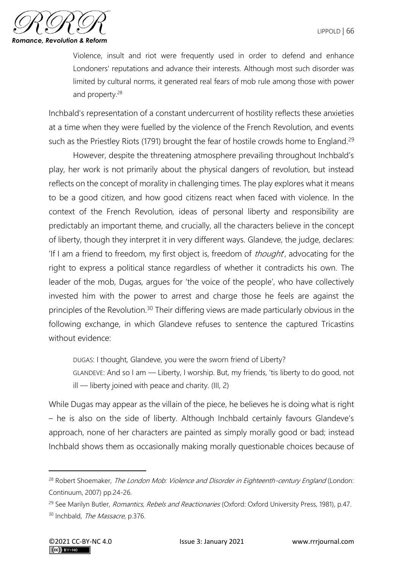

Violence, insult and riot were frequently used in order to defend and enhance Londoners' reputations and advance their interests. Although most such disorder was limited by cultural norms, it generated real fears of mob rule among those with power and property.<sup>28</sup>

Inchbald's representation of a constant undercurrent of hostility reflects these anxieties at a time when they were fuelled by the violence of the French Revolution, and events such as the Priestley Riots (1791) brought the fear of hostile crowds home to England.<sup>29</sup>

However, despite the threatening atmosphere prevailing throughout Inchbald's play, her work is not primarily about the physical dangers of revolution, but instead reflects on the concept of morality in challenging times. The play explores what it means to be a good citizen, and how good citizens react when faced with violence. In the context of the French Revolution, ideas of personal liberty and responsibility are predictably an important theme, and crucially, all the characters believe in the concept of liberty, though they interpret it in very different ways. Glandeve, the judge, declares: 'If I am a friend to freedom, my first object is, freedom of *thought*, advocating for the right to express a political stance regardless of whether it contradicts his own. The leader of the mob, Dugas, argues for 'the voice of the people', who have collectively invested him with the power to arrest and charge those he feels are against the principles of the Revolution.<sup>30</sup> Their differing views are made particularly obvious in the following exchange, in which Glandeve refuses to sentence the captured Tricastins without evidence:

DUGAS: I thought, Glandeve, you were the sworn friend of Liberty?

GLANDEVE: And so I am — Liberty, I worship. But, my friends, 'tis liberty to do good, not ill — liberty joined with peace and charity. (III, 2)

While Dugas may appear as the villain of the piece, he believes he is doing what is right – he is also on the side of liberty. Although Inchbald certainly favours Glandeve's approach, none of her characters are painted as simply morally good or bad; instead Inchbald shows them as occasionally making morally questionable choices because of

<sup>&</sup>lt;sup>28</sup> Robert Shoemaker, *The London Mob: Violence and Disorder in Eighteenth-century England* (London: Continuum, 2007) pp.24-26.

<sup>&</sup>lt;sup>29</sup> See Marilyn Butler, Romantics, Rebels and Reactionaries (Oxford: Oxford University Press, 1981), p.47. <sup>30</sup> Inchbald, *The Massacre*, p.376.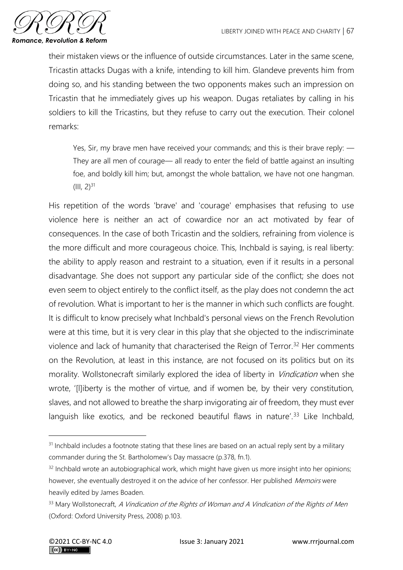

their mistaken views or the influence of outside circumstances. Later in the same scene, Tricastin attacks Dugas with a knife, intending to kill him. Glandeve prevents him from doing so, and his standing between the two opponents makes such an impression on Tricastin that he immediately gives up his weapon. Dugas retaliates by calling in his soldiers to kill the Tricastins, but they refuse to carry out the execution. Their colonel remarks:

Yes, Sir, my brave men have received your commands; and this is their brave reply: — They are all men of courage— all ready to enter the field of battle against an insulting foe, and boldly kill him; but, amongst the whole battalion, we have not one hangman.  $(III, 2)^{31}$ 

His repetition of the words 'brave' and 'courage' emphasises that refusing to use violence here is neither an act of cowardice nor an act motivated by fear of consequences. In the case of both Tricastin and the soldiers, refraining from violence is the more difficult and more courageous choice. This, Inchbald is saying, is real liberty: the ability to apply reason and restraint to a situation, even if it results in a personal disadvantage. She does not support any particular side of the conflict; she does not even seem to object entirely to the conflict itself, as the play does not condemn the act of revolution. What is important to her is the manner in which such conflicts are fought. It is difficult to know precisely what Inchbald's personal views on the French Revolution were at this time, but it is very clear in this play that she objected to the indiscriminate violence and lack of humanity that characterised the Reign of Terror.<sup>32</sup> Her comments on the Revolution, at least in this instance, are not focused on its politics but on its morality. Wollstonecraft similarly explored the idea of liberty in *Vindication* when she wrote, '[l]iberty is the mother of virtue, and if women be, by their very constitution, slaves, and not allowed to breathe the sharp invigorating air of freedom, they must ever languish like exotics, and be reckoned beautiful flaws in nature'.<sup>33</sup> Like Inchbald,

<sup>&</sup>lt;sup>31</sup> Inchbald includes a footnote stating that these lines are based on an actual reply sent by a military commander during the St. Bartholomew's Day massacre (p.378, fn.1).

 $32$  Inchbald wrote an autobiographical work, which might have given us more insight into her opinions; however, she eventually destroyed it on the advice of her confessor. Her published Memoirs were heavily edited by James Boaden.

<sup>33</sup> Mary Wollstonecraft, A Vindication of the Rights of Woman and A Vindication of the Rights of Men (Oxford: Oxford University Press, 2008) p.103.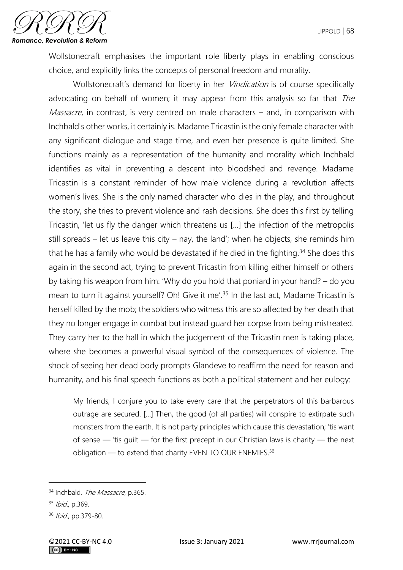

Wollstonecraft emphasises the important role liberty plays in enabling conscious choice, and explicitly links the concepts of personal freedom and morality.

Wollstonecraft's demand for liberty in her *Vindication* is of course specifically advocating on behalf of women; it may appear from this analysis so far that The Massacre, in contrast, is very centred on male characters – and, in comparison with Inchbald's other works, it certainly is. Madame Tricastin is the only female character with any significant dialogue and stage time, and even her presence is quite limited. She functions mainly as a representation of the humanity and morality which Inchbald identifies as vital in preventing a descent into bloodshed and revenge. Madame Tricastin is a constant reminder of how male violence during a revolution affects women's lives. She is the only named character who dies in the play, and throughout the story, she tries to prevent violence and rash decisions. She does this first by telling Tricastin, 'let us fly the danger which threatens us […] the infection of the metropolis still spreads – let us leave this city – nay, the land'; when he objects, she reminds him that he has a family who would be devastated if he died in the fighting.<sup>34</sup> She does this again in the second act, trying to prevent Tricastin from killing either himself or others by taking his weapon from him: 'Why do you hold that poniard in your hand? – do you mean to turn it against yourself? Oh! Give it me'.<sup>35</sup> In the last act, Madame Tricastin is herself killed by the mob; the soldiers who witness this are so affected by her death that they no longer engage in combat but instead guard her corpse from being mistreated. They carry her to the hall in which the judgement of the Tricastin men is taking place, where she becomes a powerful visual symbol of the consequences of violence. The shock of seeing her dead body prompts Glandeve to reaffirm the need for reason and humanity, and his final speech functions as both a political statement and her eulogy:

My friends, I conjure you to take every care that the perpetrators of this barbarous outrage are secured. […] Then, the good (of all parties) will conspire to extirpate such monsters from the earth. It is not party principles which cause this devastation; 'tis want of sense — 'tis guilt — for the first precept in our Christian laws is charity — the next obligation — to extend that charity EVEN TO OUR ENEMIES.<sup>36</sup>

<sup>34</sup> Inchbald, The Massacre, p.365.

<sup>35</sup> Ibid., p.369.

<sup>36</sup> Ibid., pp.379-80.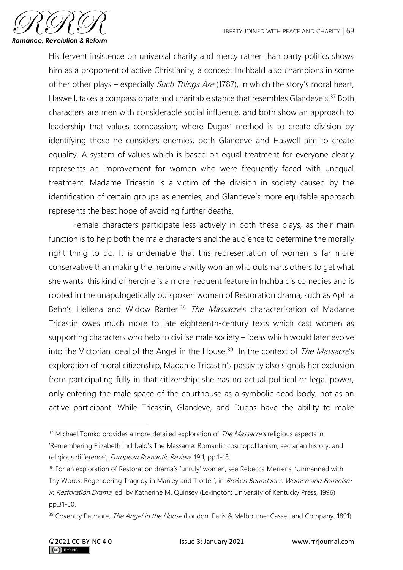

His fervent insistence on universal charity and mercy rather than party politics shows him as a proponent of active Christianity, a concept Inchbald also champions in some of her other plays – especially Such Things Are (1787), in which the story's moral heart, Haswell, takes a compassionate and charitable stance that resembles Glandeve's.<sup>37</sup> Both characters are men with considerable social influence, and both show an approach to leadership that values compassion; where Dugas' method is to create division by identifying those he considers enemies, both Glandeve and Haswell aim to create equality. A system of values which is based on equal treatment for everyone clearly represents an improvement for women who were frequently faced with unequal treatment. Madame Tricastin is a victim of the division in society caused by the identification of certain groups as enemies, and Glandeve's more equitable approach represents the best hope of avoiding further deaths.

Female characters participate less actively in both these plays, as their main function is to help both the male characters and the audience to determine the morally right thing to do. It is undeniable that this representation of women is far more conservative than making the heroine a witty woman who outsmarts others to get what she wants; this kind of heroine is a more frequent feature in Inchbald's comedies and is rooted in the unapologetically outspoken women of Restoration drama, such as Aphra Behn's Hellena and Widow Ranter.<sup>38</sup> The Massacre's characterisation of Madame Tricastin owes much more to late eighteenth-century texts which cast women as supporting characters who help to civilise male society – ideas which would later evolve into the Victorian ideal of the Angel in the House.<sup>39</sup> In the context of The Massacre's exploration of moral citizenship, Madame Tricastin's passivity also signals her exclusion from participating fully in that citizenship; she has no actual political or legal power, only entering the male space of the courthouse as a symbolic dead body, not as an active participant. While Tricastin, Glandeve, and Dugas have the ability to make

<sup>&</sup>lt;sup>37</sup> Michael Tomko provides a more detailed exploration of *The Massacre's* religious aspects in 'Remembering Elizabeth Inchbald's The Massacre: Romantic cosmopolitanism, sectarian history, and religious difference', European Romantic Review, 19.1, pp.1-18.

<sup>&</sup>lt;sup>38</sup> For an exploration of Restoration drama's 'unruly' women, see Rebecca Merrens, 'Unmanned with Thy Words: Regendering Tragedy in Manley and Trotter', in Broken Boundaries: Women and Feminism in Restoration Drama, ed. by Katherine M. Quinsey (Lexington: University of Kentucky Press, 1996) pp.31-50.

<sup>&</sup>lt;sup>39</sup> Coventry Patmore, *The Angel in the House* (London, Paris & Melbourne: Cassell and Company, 1891).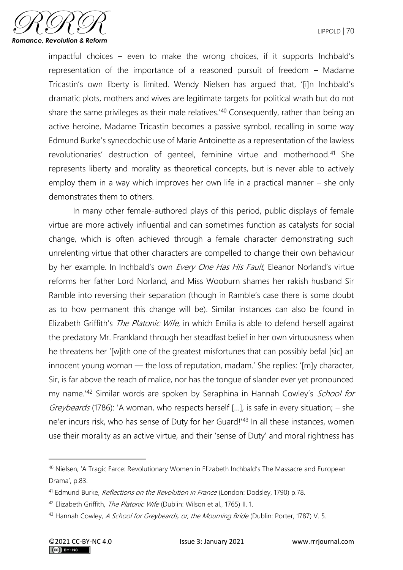

impactful choices – even to make the wrong choices, if it supports Inchbald's representation of the importance of a reasoned pursuit of freedom – Madame Tricastin's own liberty is limited. Wendy Nielsen has argued that, '[i]n Inchbald's dramatic plots, mothers and wives are legitimate targets for political wrath but do not share the same privileges as their male relatives.<sup>'40</sup> Consequently, rather than being an active heroine, Madame Tricastin becomes a passive symbol, recalling in some way Edmund Burke's synecdochic use of Marie Antoinette as a representation of the lawless revolutionaries' destruction of genteel, feminine virtue and motherhood.<sup>41</sup> She represents liberty and morality as theoretical concepts, but is never able to actively employ them in a way which improves her own life in a practical manner – she only demonstrates them to others.

In many other female-authored plays of this period, public displays of female virtue are more actively influential and can sometimes function as catalysts for social change, which is often achieved through a female character demonstrating such unrelenting virtue that other characters are compelled to change their own behaviour by her example. In Inchbald's own Every One Has His Fault, Eleanor Norland's virtue reforms her father Lord Norland, and Miss Wooburn shames her rakish husband Sir Ramble into reversing their separation (though in Ramble's case there is some doubt as to how permanent this change will be). Similar instances can also be found in Elizabeth Griffith's *The Platonic Wife*, in which Emilia is able to defend herself against the predatory Mr. Frankland through her steadfast belief in her own virtuousness when he threatens her '[w]ith one of the greatest misfortunes that can possibly befal [sic] an innocent young woman — the loss of reputation, madam.' She replies: '[m]y character, Sir, is far above the reach of malice, nor has the tongue of slander ever yet pronounced my name.<sup>42</sup> Similar words are spoken by Seraphina in Hannah Cowley's School for Greybeards (1786): 'A woman, who respects herself [...], is safe in every situation;  $-$  she ne'er incurs risk, who has sense of Duty for her Guard!'<sup>43</sup> In all these instances, women use their morality as an active virtue, and their 'sense of Duty' and moral rightness has

<sup>40</sup> Nielsen, 'A Tragic Farce: Revolutionary Women in Elizabeth Inchbald's The Massacre and European Drama', p.83.

<sup>&</sup>lt;sup>41</sup> Edmund Burke, *Reflections on the Revolution in France* (London: Dodsley, 1790) p.78.

<sup>42</sup> Elizabeth Griffith, The Platonic Wife (Dublin: Wilson et al., 1765) II. 1.

<sup>43</sup> Hannah Cowley, A School for Greybeards, or, the Mourning Bride (Dublin: Porter, 1787) V. 5.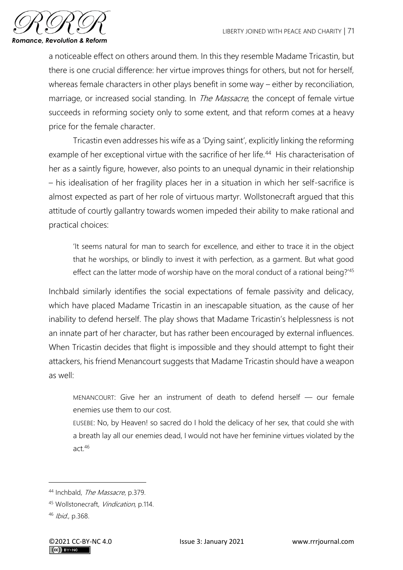

a noticeable effect on others around them. In this they resemble Madame Tricastin, but there is one crucial difference: her virtue improves things for others, but not for herself, whereas female characters in other plays benefit in some way – either by reconciliation, marriage, or increased social standing. In *The Massacre*, the concept of female virtue succeeds in reforming society only to some extent, and that reform comes at a heavy price for the female character.

Tricastin even addresses his wife as a 'Dying saint', explicitly linking the reforming example of her exceptional virtue with the sacrifice of her life.<sup>44</sup> His characterisation of her as a saintly figure, however, also points to an unequal dynamic in their relationship – his idealisation of her fragility places her in a situation in which her self-sacrifice is almost expected as part of her role of virtuous martyr. Wollstonecraft argued that this attitude of courtly gallantry towards women impeded their ability to make rational and practical choices:

'It seems natural for man to search for excellence, and either to trace it in the object that he worships, or blindly to invest it with perfection, as a garment. But what good effect can the latter mode of worship have on the moral conduct of a rational being?'<sup>45</sup>

Inchbald similarly identifies the social expectations of female passivity and delicacy, which have placed Madame Tricastin in an inescapable situation, as the cause of her inability to defend herself. The play shows that Madame Tricastin's helplessness is not an innate part of her character, but has rather been encouraged by external influences. When Tricastin decides that flight is impossible and they should attempt to fight their attackers, his friend Menancourt suggests that Madame Tricastin should have a weapon as well:

MENANCOURT: Give her an instrument of death to defend herself — our female enemies use them to our cost.

EUSEBE: No, by Heaven! so sacred do I hold the delicacy of her sex, that could she with a breath lay all our enemies dead, I would not have her feminine virtues violated by the act.<sup>46</sup>

<sup>44</sup> Inchbald, The Massacre, p.379.

<sup>45</sup> Wollstonecraft, Vindication, p.114.

<sup>46</sup> Ibid., p.368.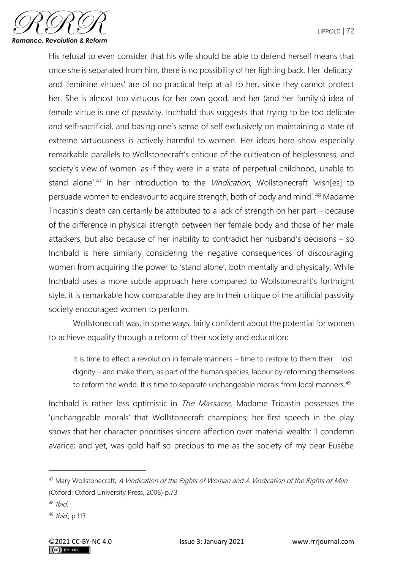

His refusal to even consider that his wife should be able to defend herself means that once she is separated from him, there is no possibility of her fighting back. Her 'delicacy' and 'feminine virtues' are of no practical help at all to her, since they cannot protect her. She is almost too virtuous for her own good, and her (and her family's) idea of female virtue is one of passivity. Inchbald thus suggests that trying to be too delicate and self-sacrificial, and basing one's sense of self exclusively on maintaining a state of extreme virtuousness is actively harmful to women. Her ideas here show especially remarkable parallels to Wollstonecraft's critique of the cultivation of helplessness, and society's view of women 'as if they were in a state of perpetual childhood, unable to stand alone'.<sup>47</sup> In her introduction to the *Vindication*, Wollstonecraft 'wish[es] to persuade women to endeavour to acquire strength, both of body and mind'.<sup>48</sup> Madame Tricastin's death can certainly be attributed to a lack of strength on her part – because of the difference in physical strength between her female body and those of her male attackers, but also because of her inability to contradict her husband's decisions – so Inchbald is here similarly considering the negative consequences of discouraging women from acquiring the power to 'stand alone', both mentally and physically. While Inchbald uses a more subtle approach here compared to Wollstonecraft's forthright style, it is remarkable how comparable they are in their critique of the artificial passivity society encouraged women to perform.

Wollstonecraft was, in some ways, fairly confident about the potential for women to achieve equality through a reform of their society and education:

It is time to effect a revolution in female manners – time to restore to them their lost dignity – and make them, as part of the human species, labour by reforming themselves to reform the world. It is time to separate unchangeable morals from local manners.<sup>49</sup>

Inchbald is rather less optimistic in *The Massacre*. Madame Tricastin possesses the 'unchangeable morals' that Wollstonecraft champions; her first speech in the play shows that her character prioritises sincere affection over material wealth: 'I condemn avarice; and yet, was gold half so precious to me as the society of my dear Eusèbe

<sup>&</sup>lt;sup>47</sup> Mary Wollstonecraft, A Vindication of the Rights of Woman and A Vindication of the Rights of Men (Oxford: Oxford University Press, 2008) p.73

 $48$  Ibid

 $49$  *Ibid.*, p.113.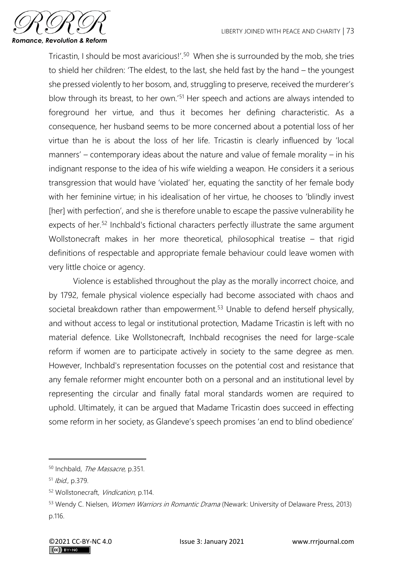

Tricastin, I should be most avaricious!'.<sup>50</sup> When she is surrounded by the mob, she tries to shield her children: 'The eldest, to the last, she held fast by the hand – the youngest she pressed violently to her bosom, and, struggling to preserve, received the murderer's blow through its breast, to her own.<sup>'51</sup> Her speech and actions are always intended to foreground her virtue, and thus it becomes her defining characteristic. As a consequence, her husband seems to be more concerned about a potential loss of her virtue than he is about the loss of her life. Tricastin is clearly influenced by 'local manners' – contemporary ideas about the nature and value of female morality – in his indignant response to the idea of his wife wielding a weapon. He considers it a serious transgression that would have 'violated' her, equating the sanctity of her female body with her feminine virtue; in his idealisation of her virtue, he chooses to 'blindly invest [her] with perfection', and she is therefore unable to escape the passive vulnerability he expects of her.<sup>52</sup> Inchbald's fictional characters perfectly illustrate the same argument Wollstonecraft makes in her more theoretical, philosophical treatise – that rigid definitions of respectable and appropriate female behaviour could leave women with very little choice or agency.

Violence is established throughout the play as the morally incorrect choice, and by 1792, female physical violence especially had become associated with chaos and societal breakdown rather than empowerment.<sup>53</sup> Unable to defend herself physically, and without access to legal or institutional protection, Madame Tricastin is left with no material defence. Like Wollstonecraft, Inchbald recognises the need for large-scale reform if women are to participate actively in society to the same degree as men. However, Inchbald's representation focusses on the potential cost and resistance that any female reformer might encounter both on a personal and an institutional level by representing the circular and finally fatal moral standards women are required to uphold. Ultimately, it can be argued that Madame Tricastin does succeed in effecting some reform in her society, as Glandeve's speech promises 'an end to blind obedience'

<sup>50</sup> Inchbald, The Massacre, p.351.

<sup>51</sup> Ibid., p.379.

<sup>52</sup> Wollstonecraft, Vindication, p.114.

<sup>53</sup> Wendy C. Nielsen, Women Warriors in Romantic Drama (Newark: University of Delaware Press, 2013) p.116.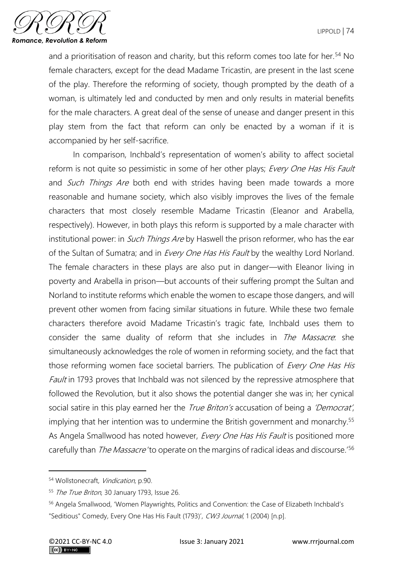

and a prioritisation of reason and charity, but this reform comes too late for her.<sup>54</sup> No female characters, except for the dead Madame Tricastin, are present in the last scene of the play. Therefore the reforming of society, though prompted by the death of a woman, is ultimately led and conducted by men and only results in material benefits for the male characters. A great deal of the sense of unease and danger present in this play stem from the fact that reform can only be enacted by a woman if it is accompanied by her self-sacrifice.

In comparison, Inchbald's representation of women's ability to affect societal reform is not quite so pessimistic in some of her other plays; Every One Has His Fault and Such Things Are both end with strides having been made towards a more reasonable and humane society, which also visibly improves the lives of the female characters that most closely resemble Madame Tricastin (Eleanor and Arabella, respectively). However, in both plays this reform is supported by a male character with institutional power: in *Such Things Are* by Haswell the prison reformer, who has the ear of the Sultan of Sumatra; and in *Every One Has His Fault* by the wealthy Lord Norland. The female characters in these plays are also put in danger—with Eleanor living in poverty and Arabella in prison—but accounts of their suffering prompt the Sultan and Norland to institute reforms which enable the women to escape those dangers, and will prevent other women from facing similar situations in future. While these two female characters therefore avoid Madame Tricastin's tragic fate, Inchbald uses them to consider the same duality of reform that she includes in The Massacre: she simultaneously acknowledges the role of women in reforming society, and the fact that those reforming women face societal barriers. The publication of Every One Has His Fault in 1793 proves that Inchbald was not silenced by the repressive atmosphere that followed the Revolution, but it also shows the potential danger she was in; her cynical social satire in this play earned her the *True Briton's* accusation of being a 'Democrat', implying that her intention was to undermine the British government and monarchy.<sup>55</sup> As Angela Smallwood has noted however, Every One Has His Fault is positioned more carefully than *The Massacre* 'to operate on the margins of radical ideas and discourse.<sup>'56</sup>

<sup>54</sup> Wollstonecraft, Vindication, p.90.

<sup>55</sup> The True Briton, 30 January 1793, Issue 26.

<sup>56</sup> Angela Smallwood, 'Women Playwrights, Politics and Convention: the Case of Elizabeth Inchbald's "Seditious" Comedy, Every One Has His Fault (1793)', CW3 Journal, 1 (2004) [n.p].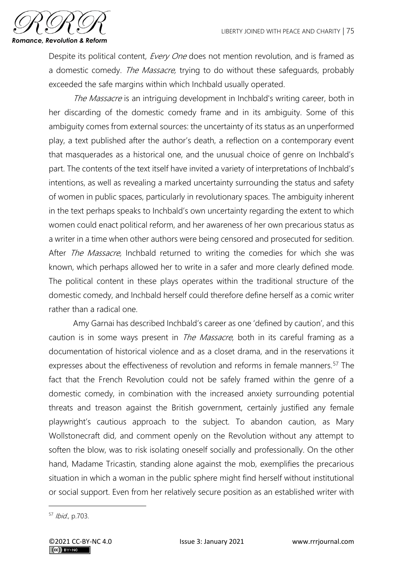

Despite its political content, *Every One* does not mention revolution, and is framed as a domestic comedy. The Massacre, trying to do without these safeguards, probably exceeded the safe margins within which Inchbald usually operated.

The Massacre is an intriguing development in Inchbald's writing career, both in her discarding of the domestic comedy frame and in its ambiguity. Some of this ambiguity comes from external sources: the uncertainty of its status as an unperformed play, a text published after the author's death, a reflection on a contemporary event that masquerades as a historical one, and the unusual choice of genre on Inchbald's part. The contents of the text itself have invited a variety of interpretations of Inchbald's intentions, as well as revealing a marked uncertainty surrounding the status and safety of women in public spaces, particularly in revolutionary spaces. The ambiguity inherent in the text perhaps speaks to Inchbald's own uncertainty regarding the extent to which women could enact political reform, and her awareness of her own precarious status as a writer in a time when other authors were being censored and prosecuted for sedition. After *The Massacre*, Inchbald returned to writing the comedies for which she was known, which perhaps allowed her to write in a safer and more clearly defined mode. The political content in these plays operates within the traditional structure of the domestic comedy, and Inchbald herself could therefore define herself as a comic writer rather than a radical one.

Amy Garnai has described Inchbald's career as one 'defined by caution', and this caution is in some ways present in *The Massacre*, both in its careful framing as a documentation of historical violence and as a closet drama, and in the reservations it expresses about the effectiveness of revolution and reforms in female manners.<sup>57</sup> The fact that the French Revolution could not be safely framed within the genre of a domestic comedy, in combination with the increased anxiety surrounding potential threats and treason against the British government, certainly justified any female playwright's cautious approach to the subject. To abandon caution, as Mary Wollstonecraft did, and comment openly on the Revolution without any attempt to soften the blow, was to risk isolating oneself socially and professionally. On the other hand, Madame Tricastin, standing alone against the mob, exemplifies the precarious situation in which a woman in the public sphere might find herself without institutional or social support. Even from her relatively secure position as an established writer with

<sup>57</sup> Ibid., p.703.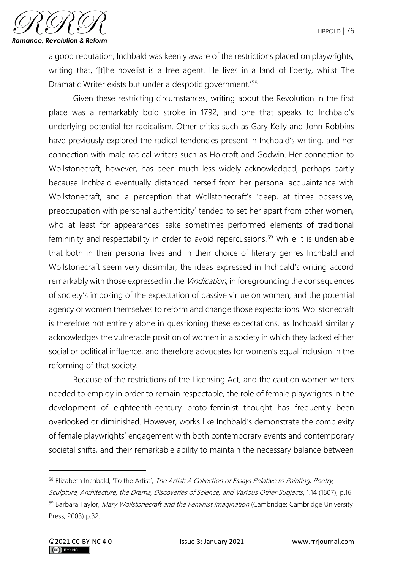

a good reputation, Inchbald was keenly aware of the restrictions placed on playwrights, writing that, '[t]he novelist is a free agent. He lives in a land of liberty, whilst The Dramatic Writer exists but under a despotic government.'<sup>58</sup>

Given these restricting circumstances, writing about the Revolution in the first place was a remarkably bold stroke in 1792, and one that speaks to Inchbald's underlying potential for radicalism. Other critics such as Gary Kelly and John Robbins have previously explored the radical tendencies present in Inchbald's writing, and her connection with male radical writers such as Holcroft and Godwin. Her connection to Wollstonecraft, however, has been much less widely acknowledged, perhaps partly because Inchbald eventually distanced herself from her personal acquaintance with Wollstonecraft, and a perception that Wollstonecraft's 'deep, at times obsessive, preoccupation with personal authenticity' tended to set her apart from other women, who at least for appearances' sake sometimes performed elements of traditional femininity and respectability in order to avoid repercussions.<sup>59</sup> While it is undeniable that both in their personal lives and in their choice of literary genres Inchbald and Wollstonecraft seem very dissimilar, the ideas expressed in Inchbald's writing accord remarkably with those expressed in the *Vindication*, in foregrounding the consequences of society's imposing of the expectation of passive virtue on women, and the potential agency of women themselves to reform and change those expectations. Wollstonecraft is therefore not entirely alone in questioning these expectations, as Inchbald similarly acknowledges the vulnerable position of women in a society in which they lacked either social or political influence, and therefore advocates for women's equal inclusion in the reforming of that society.

Because of the restrictions of the Licensing Act, and the caution women writers needed to employ in order to remain respectable, the role of female playwrights in the development of eighteenth-century proto-feminist thought has frequently been overlooked or diminished. However, works like Inchbald's demonstrate the complexity of female playwrights' engagement with both contemporary events and contemporary societal shifts, and their remarkable ability to maintain the necessary balance between

<sup>58</sup> Elizabeth Inchbald, 'To the Artist', The Artist: A Collection of Essays Relative to Painting, Poetry, Sculpture, Architecture, the Drama, Discoveries of Science, and Various Other Subjects, 1.14 (1807), p.16. 59 Barbara Taylor, Mary Wollstonecraft and the Feminist Imagination (Cambridge: Cambridge University Press, 2003) p.32.